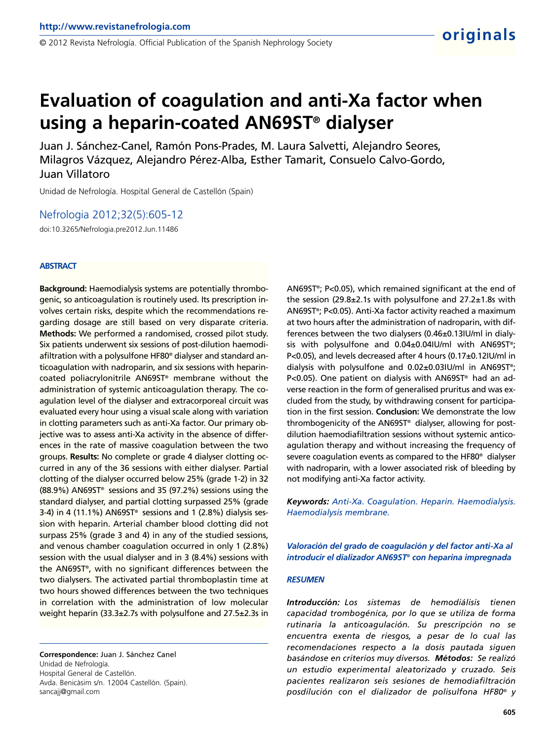Juan J. Sánchez-Canel, Ramón Pons-Prades, M. Laura Salvetti, Alejandro Seores, Milagros Vázquez, Alejandro Pérez-Alba, Esther Tamarit, Consuelo Calvo-Gordo, Juan Villatoro

Unidad de Nefrología. Hospital General de Castellón (Spain)

Nefrologia 2012;32(5):605-12

doi:10.3265/Nefrologia.pre2012.Jun.11486

#### **ABSTRACT**

**Background:** Haemodialysis systems are potentially thrombogenic, so anticoagulation is routinely used. Its prescription involves certain risks, despite which the recommendations regarding dosage are still based on very disparate criteria. **Methods:** We performed a randomised, crossed pilot study. Six patients underwent six sessions of post-dilution haemodiafiltration with a polysulfone HF80® dialyser and standard anticoagulation with nadroparin, and six sessions with heparincoated poliacrylonitrile AN69ST® membrane without the administration of systemic anticoagulation therapy. The coagulation level of the dialyser and extracorporeal circuit was evaluated every hour using a visual scale along with variation in clotting parameters such as anti-Xa factor. Our primary objective was to assess anti-Xa activity in the absence of differences in the rate of massive coagulation between the two groups. **Results:** No complete or grade 4 dialyser clotting occurred in any of the 36 sessions with either dialyser. Partial clotting of the dialyser occurred below 25% (grade 1-2) in 32 (88.9%) AN69ST® sessions and 35 (97.2%) sessions using the standard dialyser, and partial clotting surpassed 25% (grade 3-4) in 4 (11.1%) AN69ST® sessions and 1 (2.8%) dialysis session with heparin. Arterial chamber blood clotting did not surpass 25% (grade 3 and 4) in any of the studied sessions, and venous chamber coagulation occurred in only 1 (2.8%) session with the usual dialyser and in 3 (8.4%) sessions with the AN69ST® , with no significant differences between the two dialysers. The activated partial thromboplastin time at two hours showed differences between the two techniques in correlation with the administration of low molecular weight heparin (33.3±2.7s with polysulfone and 27.5±2.3s in

**Correspondence:** Juan J. Sánchez Canel Unidad de Nefrología. Hospital General de Castellón. Avda. Benicàsim s/n. 12004 Castellón. (Spain). sancajj@gmail.com

AN69ST® ; P<0.05), which remained significant at the end of the session (29.8±2.1s with polysulfone and 27.2±1.8s with AN69ST® ; P<0.05). Anti-Xa factor activity reached a maximum at two hours after the administration of nadroparin, with differences between the two dialysers (0.46±0.13IU/ml in dialysis with polysulfone and 0.04±0.04IU/ml with AN69ST® ; P<0.05), and levels decreased after 4 hours (0.17±0.12IU/ml in dialysis with polysulfone and 0.02±0.03IU/ml in AN69ST® ; P<0.05). One patient on dialysis with AN69ST® had an adverse reaction in the form of generalised pruritus and was excluded from the study, by withdrawing consent for participation in the first session. **Conclusion:** We demonstrate the low thrombogenicity of the AN69ST® dialyser, allowing for postdilution haemodiafiltration sessions without systemic anticoagulation therapy and without increasing the frequency of severe coagulation events as compared to the HF80® dialyser with nadroparin, with a lower associated risk of bleeding by not modifying anti-Xa factor activity.

**originals**

*Keywords: Anti-Xa. Coagulation. Heparin. Haemodialysis. Haemodialysis membrane.*

*Valoración del grado de coagulación y del factor anti-Xa al introducir el dializador AN69ST® con heparina impregnada*

#### *RESUMEN*

*Introducción: Los sistemas de hemodiálisis tienen capacidad trombogénica, por lo que se utiliza de forma rutinaria la anticoagulación. Su prescripción no se encuentra exenta de riesgos, a pesar de lo cual las recomendaciones respecto a la dosis pautada siguen basándose en criterios muy diversos. Métodos: Se realizó un estudio experimental aleatorizado y cruzado. Seis pacientes realizaron seis sesiones de hemodiafiltración posdilución con el dializador de polisulfona HF80® y*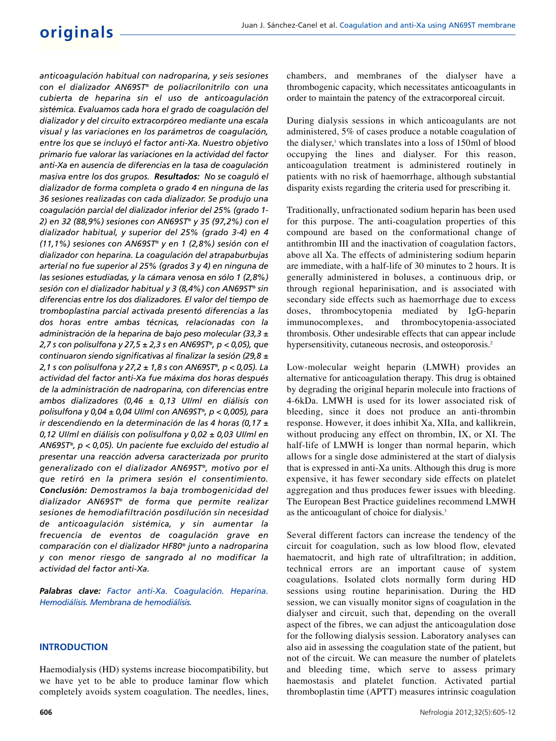# **originals**

*anticoagulación habitual con nadroparina, y seis sesiones con el dializador AN69ST® de poliacrilonitrilo con una cubierta de heparina sin el uso de anticoagulación sistémica. Evaluamos cada hora el grado de coagulación del dializador y del circuito extracorpóreo mediante una escala visual y las variaciones en los parámetros de coagulación, entre los que se incluyó el factor anti-Xa. Nuestro objetivo primario fue valorar las variaciones en la actividad del factor anti-Xa en ausencia de diferencias en la tasa de coagulación masiva entre los dos grupos. Resultados: No se coaguló el dializador de forma completa o grado 4 en ninguna de las 36 sesiones realizadas con cada dializador. Se produjo una coagulación parcial del dializador inferior del 25% (grado 1- 2) en 32 (88,9%) sesiones con AN69ST® y 35 (97,2%) con el dializador habitual, y superior del 25% (grado 3-4) en 4 (11,1%) sesiones con AN69ST® y en 1 (2,8%) sesión con el dializador con heparina. La coagulación del atrapaburbujas arterial no fue superior al 25% (grados 3 y 4) en ninguna de las sesiones estudiadas, y la cámara venosa en sólo 1 (2,8%) sesión con el dializador habitual y 3 (8,4%) con AN69ST® sin diferencias entre los dos dializadores. El valor del tiempo de tromboplastina parcial activada presentó diferencias a las dos horas entre ambas técnicas, relacionadas con la administración de la heparina de bajo peso molecular (33,3 ± 2,7 s con polisulfona y 27,5 ± 2,3 s en AN69ST® , p < 0,05), que continuaron siendo significativas al finalizar la sesión (29,8 ± 2,1 s con polisulfona y 27,2 ± 1,8 s con AN69ST® , p < 0,05). La actividad del factor anti-Xa fue máxima dos horas después de la administración de nadroparina, con diferencias entre ambos dializadores (0,46 ± 0,13 UI/ml en diálisis con polisulfona y 0,04 ± 0,04 UI/ml con AN69ST® , p < 0,005), para ir descendiendo en la determinación de las 4 horas (0,17 ± 0,12 UI/ml en diálisis con polisulfona y 0,02 ± 0,03 UI/ml en AN69ST® , p < 0,05). Un paciente fue excluido del estudio al presentar una reacción adversa caracterizada por prurito generalizado con el dializador AN69ST® , motivo por el que retiró en la primera sesión el consentimiento. Conclusión: Demostramos la baja trombogenicidad del dializador AN69ST® de forma que permite realizar sesiones de hemodiafiltración posdilución sin necesidad de anticoagulación sistémica, y sin aumentar la frecuencia de eventos de coagulación grave en comparación con el dializador HF80® junto a nadroparina y con menor riesgo de sangrado al no modificar la actividad del factor anti-Xa.*

*Palabras clave: Factor anti-Xa. Coagulación. Heparina. Hemodiálisis. Membrana de hemodiálisis.*

#### **INTRODUCTION**

Haemodialysis (HD) systems increase biocompatibility, but we have yet to be able to produce laminar flow which completely avoids system coagulation. The needles, lines,

chambers, and membranes of the dialyser have a thrombogenic capacity, which necessitates anticoagulants in order to maintain the patency of the extracorporeal circuit.

During dialysis sessions in which anticoagulants are not administered, 5% of cases produce a notable coagulation of the dialyser,<sup>1</sup> which translates into a loss of 150ml of blood occupying the lines and dialyser. For this reason, anticoagulation treatment is administered routinely in patients with no risk of haemorrhage, although substantial disparity exists regarding the criteria used for prescribing it.

Traditionally, unfractionated sodium heparin has been used for this purpose. The anti-coagulation properties of this compound are based on the conformational change of antithrombin III and the inactivation of coagulation factors, above all Xa. The effects of administering sodium heparin are immediate, with a half-life of 30 minutes to 2 hours. It is generally administered in boluses, a continuous drip, or through regional heparinisation, and is associated with secondary side effects such as haemorrhage due to excess doses, thrombocytopenia mediated by IgG-heparin immunocomplexes, and thrombocytopenia-associated thrombosis. Other undesirable effects that can appear include hypersensitivity, cutaneous necrosis, and osteoporosis.<sup>2</sup>

Low-molecular weight heparin (LMWH) provides an alternative for anticoagulation therapy. This drug is obtained by degrading the original heparin molecule into fractions of 4-6kDa. LMWH is used for its lower associated risk of bleeding, since it does not produce an anti-thrombin response. However, it does inhibit Xa, XIIa, and kallikrein, without producing any effect on thrombin, IX, or XI. The half-life of LMWH is longer than normal heparin, which allows for a single dose administered at the start of dialysis that is expressed in anti-Xa units. Although this drug is more expensive, it has fewer secondary side effects on platelet aggregation and thus produces fewer issues with bleeding. The European Best Practice guidelines recommend LMWH as the anticoagulant of choice for dialysis.<sup>3</sup>

Several different factors can increase the tendency of the circuit for coagulation, such as low blood flow, elevated haematocrit, and high rate of ultrafiltration; in addition, technical errors are an important cause of system coagulations. Isolated clots normally form during HD sessions using routine heparinisation. During the HD session, we can visually monitor signs of coagulation in the dialyser and circuit, such that, depending on the overall aspect of the fibres, we can adjust the anticoagulation dose for the following dialysis session. Laboratory analyses can also aid in assessing the coagulation state of the patient, but not of the circuit. We can measure the number of platelets and bleeding time, which serve to assess primary haemostasis and platelet function. Activated partial thromboplastin time (APTT) measures intrinsic coagulation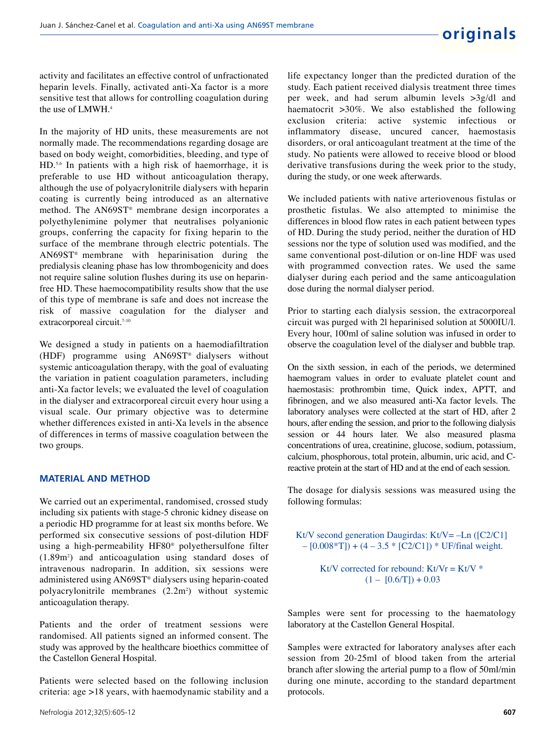activity and facilitates an effective control of unfractionated heparin levels. Finally, activated anti-Xa factor is a more sensitive test that allows for controlling coagulation during the use of LMWH.<sup>4</sup>

In the majority of HD units, these measurements are not normally made. The recommendations regarding dosage are based on body weight, comorbidities, bleeding, and type of HD.<sup>5,6</sup> In patients with a high risk of haemorrhage, it is preferable to use HD without anticoagulation therapy, although the use of polyacrylonitrile dialysers with heparin coating is currently being introduced as an alternative method. The AN69ST® membrane design incorporates a polyethylenimine polymer that neutralises polyanionic groups, conferring the capacity for fixing heparin to the surface of the membrane through electric potentials. The AN69ST® membrane with heparinisation during the predialysis cleaning phase has low thrombogenicity and does not require saline solution flushes during its use on heparinfree HD. These haemocompatibility results show that the use of this type of membrane is safe and does not increase the risk of massive coagulation for the dialyser and extracorporeal circuit.<sup>7-10</sup>

We designed a study in patients on a haemodiafiltration (HDF) programme using AN69ST® dialysers without systemic anticoagulation therapy, with the goal of evaluating the variation in patient coagulation parameters, including anti-Xa factor levels; we evaluated the level of coagulation in the dialyser and extracorporeal circuit every hour using a visual scale. Our primary objective was to determine whether differences existed in anti-Xa levels in the absence of differences in terms of massive coagulation between the two groups.

#### **MATERIAL AND METHOD**

We carried out an experimental, randomised, crossed study including six patients with stage-5 chronic kidney disease on a periodic HD programme for at least six months before. We performed six consecutive sessions of post-dilution HDF using a high-permeability HF80® polyethersulfone filter (1.89m<sup>2</sup> ) and anticoagulation using standard doses of intravenous nadroparin. In addition, six sessions were administered using AN69ST® dialysers using heparin-coated polyacrylonitrile membranes (2.2m<sup>2</sup> ) without systemic anticoagulation therapy.

Patients and the order of treatment sessions were randomised. All patients signed an informed consent. The study was approved by the healthcare bioethics committee of the Castellon General Hospital.

Patients were selected based on the following inclusion criteria: age >18 years, with haemodynamic stability and a life expectancy longer than the predicted duration of the study. Each patient received dialysis treatment three times per week, and had serum albumin levels >3g/dl and haematocrit >30%. We also established the following exclusion criteria: active systemic infectious or inflammatory disease, uncured cancer, haemostasis disorders, or oral anticoagulant treatment at the time of the study. No patients were allowed to receive blood or blood derivative transfusions during the week prior to the study, during the study, or one week afterwards.

We included patients with native arteriovenous fistulas or prosthetic fistulas. We also attempted to minimise the differences in blood flow rates in each patient between types of HD. During the study period, neither the duration of HD sessions nor the type of solution used was modified, and the same conventional post-dilution or on-line HDF was used with programmed convection rates. We used the same dialyser during each period and the same anticoagulation dose during the normal dialyser period.

Prior to starting each dialysis session, the extracorporeal circuit was purged with 2l heparinised solution at 5000IU/l. Every hour, 100ml of saline solution was infused in order to observe the coagulation level of the dialyser and bubble trap.

On the sixth session, in each of the periods, we determined haemogram values in order to evaluate platelet count and haemostasis: prothrombin time, Quick index, APTT, and fibrinogen, and we also measured anti-Xa factor levels. The laboratory analyses were collected at the start of HD, after 2 hours, after ending the session, and prior to the following dialysis session or 44 hours later. We also measured plasma concentrations of urea, creatinine, glucose, sodium, potassium, calcium, phosphorous, total protein, albumin, uric acid, and Creactive protein at the start of HD and at the end of each session.

The dosage for dialysis sessions was measured using the following formulas:

Kt/V second generation Daugirdas: Kt/V =  $-Ln$  ([C2/C1]  $-[0.008*T]$  + (4 – 3.5 \* [C2/C1]) \* UF/final weight. Kt/V corrected for rebound:  $Kt/Vr = Kt/V$  \*  $(1 - [0.6/T]) + 0.03$ 

Samples were sent for processing to the haematology

laboratory at the Castellon General Hospital.

Samples were extracted for laboratory analyses after each session from 20-25ml of blood taken from the arterial branch after slowing the arterial pump to a flow of 50ml/min during one minute, according to the standard department protocols.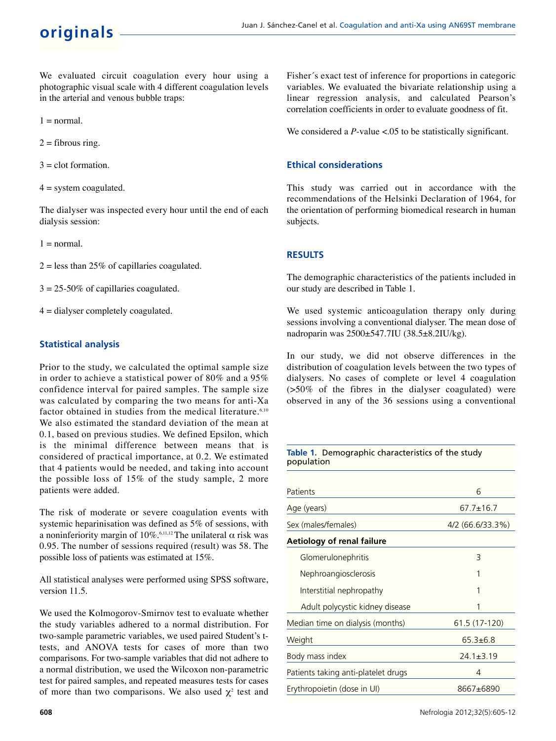We evaluated circuit coagulation every hour using a photographic visual scale with 4 different coagulation levels in the arterial and venous bubble traps:

 $1 = normal$ .

 $2 =$  fibrous ring.

 $3 =$  clot formation.

 $4 =$  system coagulated.

The dialyser was inspected every hour until the end of each dialysis session:

 $1 = normal$ .

 $2 =$  less than 25% of capillaries coagulated.

 $3 = 25-50\%$  of capillaries coagulated.

 $4 =$  dialyser completely coagulated.

## **Statistical analysis**

Prior to the study, we calculated the optimal sample size in order to achieve a statistical power of 80% and a 95% confidence interval for paired samples. The sample size was calculated by comparing the two means for anti-Xa factor obtained in studies from the medical literature.<sup>6,10</sup> We also estimated the standard deviation of the mean at 0.1, based on previous studies. We defined Epsilon, which is the minimal difference between means that is considered of practical importance, at 0.2. We estimated that 4 patients would be needed, and taking into account the possible loss of 15% of the study sample, 2 more patients were added.

The risk of moderate or severe coagulation events with systemic heparinisation was defined as 5% of sessions, with a noninferiority margin of  $10\%$ .<sup>6,11,12</sup> The unilateral α risk was 0.95. The number of sessions required (result) was 58. The possible loss of patients was estimated at 15%.

All statistical analyses were performed using SPSS software, version 11.5.

We used the Kolmogorov-Smirnov test to evaluate whether the study variables adhered to a normal distribution. For two-sample parametric variables, we used paired Student's ttests, and ANOVA tests for cases of more than two comparisons. For two-sample variables that did not adhere to a normal distribution, we used the Wilcoxon non-parametric test for paired samples, and repeated measures tests for cases of more than two comparisons. We also used  $\chi^2$  test and

Fisher´s exact test of inference for proportions in categoric variables. We evaluated the bivariate relationship using a linear regression analysis, and calculated Pearson's correlation coefficients in order to evaluate goodness of fit.

We considered a *P*-value <.05 to be statistically significant.

## **Ethical considerations**

This study was carried out in accordance with the recommendations of the Helsinki Declaration of 1964, for the orientation of performing biomedical research in human subjects.

## **RESULTS**

The demographic characteristics of the patients included in our study are described in Table 1.

We used systemic anticoagulation therapy only during sessions involving a conventional dialyser. The mean dose of nadroparin was 2500±547.7IU (38.5±8.2IU/kg).

In our study, we did not observe differences in the distribution of coagulation levels between the two types of dialysers. No cases of complete or level 4 coagulation (>50% of the fibres in the dialyser coagulated) were observed in any of the 36 sessions using a conventional

| Table 1. Demographic characteristics of the study<br>population |                  |  |  |
|-----------------------------------------------------------------|------------------|--|--|
|                                                                 |                  |  |  |
| Patients                                                        | 6                |  |  |
| Age (years)                                                     | $67.7 \pm 16.7$  |  |  |
| Sex (males/females)                                             | 4/2 (66.6/33.3%) |  |  |
| Aetiology of renal failure                                      |                  |  |  |
| Glomerulonephritis                                              | 3                |  |  |
| Nephroangiosclerosis                                            | 1                |  |  |
| Interstitial nephropathy                                        | 1                |  |  |
| Adult polycystic kidney disease                                 | 1                |  |  |
| Median time on dialysis (months)                                | 61.5 (17-120)    |  |  |
| Weight                                                          | $65.3 \pm 6.8$   |  |  |
| Body mass index                                                 | $24.1 \pm 3.19$  |  |  |
| Patients taking anti-platelet drugs                             | 4                |  |  |
| Erythropoietin (dose in UI)                                     | 8667±6890        |  |  |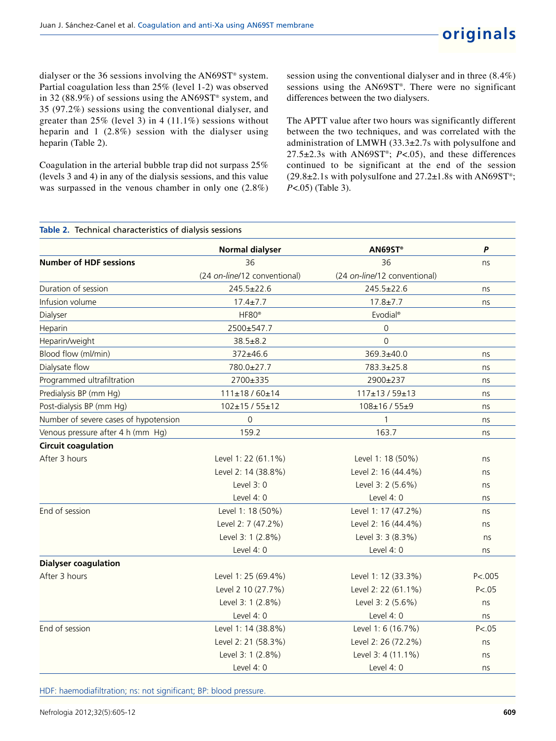dialyser or the 36 sessions involving the AN69ST® system. Partial coagulation less than 25% (level 1-2) was observed in 32 (88.9%) of sessions using the AN69ST® system, and 35 (97.2%) sessions using the conventional dialyser, and greater than  $25\%$  (level 3) in 4 (11.1%) sessions without heparin and 1 (2.8%) session with the dialyser using heparin (Table 2).

Coagulation in the arterial bubble trap did not surpass 25% (levels 3 and 4) in any of the dialysis sessions, and this value was surpassed in the venous chamber in only one (2.8%) session using the conventional dialyser and in three (8.4%) sessions using the AN69ST® . There were no significant differences between the two dialysers.

The APTT value after two hours was significantly different between the two techniques, and was correlated with the administration of LMWH (33.3±2.7s with polysulfone and 27.5±2.3s with AN69ST® ; *P*<.05), and these differences continued to be significant at the end of the session  $(29.8\pm2.1s$  with polysulfone and  $27.2\pm1.8s$  with AN69ST<sup>®</sup>; *P*<.05) (Table 3).

|                                       | <b>Normal dialyser</b>       | AN69ST®                      | P       |
|---------------------------------------|------------------------------|------------------------------|---------|
| <b>Number of HDF sessions</b>         | 36                           | 36                           | ns      |
|                                       | (24 on-line/12 conventional) | (24 on-line/12 conventional) |         |
| Duration of session                   | 245.5±22.6                   | $245.5 \pm 22.6$             | ns      |
| Infusion volume                       | $17.4 \pm 7.7$               | $17.8 \pm 7.7$               | ns      |
| Dialyser                              | HF80 <sup>®</sup>            | Evodial <sup>®</sup>         |         |
| Heparin                               | 2500±547.7                   | $\mathsf{O}\xspace$          |         |
| Heparin/weight                        | $38.5 \pm 8.2$               | $\Omega$                     |         |
| Blood flow (ml/min)                   | $372 \pm 46.6$               | 369.3±40.0                   | ns      |
| Dialysate flow                        | 780.0±27.7                   | 783.3±25.8                   | ns      |
| Programmed ultrafiltration            | 2700±335                     | 2900±237                     | ns      |
| Predialysis BP (mm Hg)                | $111 \pm 18/60 \pm 14$       | $117\pm13/59\pm13$           | ns      |
| Post-dialysis BP (mm Hg)              | $102 \pm 15 / 55 \pm 12$     | 108±16 / 55±9                | ns      |
| Number of severe cases of hypotension | 0                            | 1                            | ns      |
| Venous pressure after 4 h (mm Hg)     | 159.2                        | 163.7                        | ns      |
| <b>Circuit coagulation</b>            |                              |                              |         |
| After 3 hours                         | Level 1: 22 (61.1%)          | Level 1: 18 (50%)            | ns      |
|                                       | Level 2: 14 (38.8%)          | Level 2: 16 (44.4%)          | ns      |
|                                       | Level 3: 0                   | Level 3: 2 (5.6%)            | ns      |
|                                       | Level 4: 0                   | Level 4: 0                   | ns      |
| End of session                        | Level 1: 18 (50%)            | Level 1: 17 (47.2%)          | ns      |
|                                       | Level 2: 7 (47.2%)           | Level 2: 16 (44.4%)          | ns      |
|                                       | Level 3: 1 (2.8%)            | Level 3: 3 (8.3%)            | ns      |
|                                       | Level 4: 0                   | Level 4: 0                   | ns      |
| <b>Dialyser coagulation</b>           |                              |                              |         |
| After 3 hours                         | Level 1: 25 (69.4%)          | Level 1: 12 (33.3%)          | P < 005 |
|                                       | Level 2 10 (27.7%)           | Level 2: 22 (61.1%)          | P < .05 |
|                                       | Level 3: 1 (2.8%)            | Level 3: 2 (5.6%)            | ns      |
|                                       | Level 4: 0                   | Level 4: 0                   | ns      |
| End of session                        | Level 1: 14 (38.8%)          | Level 1: 6 (16.7%)           | P < .05 |
|                                       | Level 2: 21 (58.3%)          | Level 2: 26 (72.2%)          | ns      |
|                                       | Level 3: 1 (2.8%)            | Level 3: 4 (11.1%)           | ns      |
|                                       | Level $4:0$                  | Level $4:0$                  | ns      |

HDF: haemodiafiltration; ns: not significant; BP: blood pressure.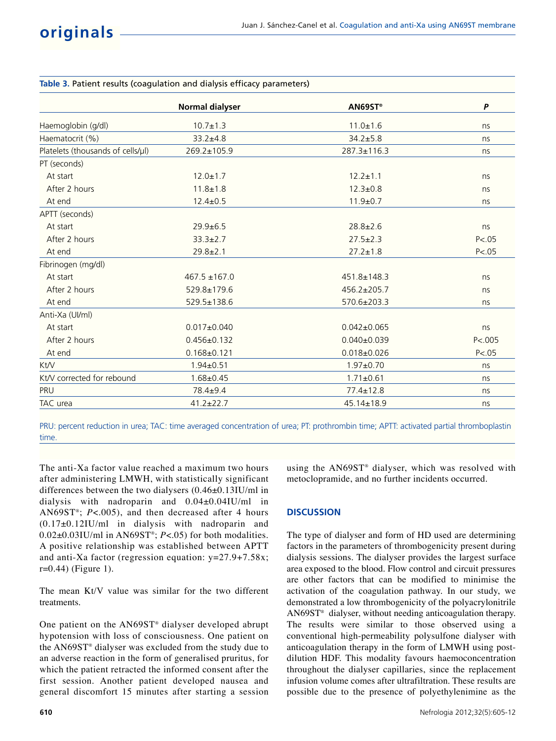| <b>Normal dialyser</b> | AN69ST <sup>®</sup> | $\boldsymbol{P}$ |
|------------------------|---------------------|------------------|
| $10.7 \pm 1.3$         | $11.0 \pm 1.6$      | ns               |
| $33.2 + 4.8$           | $34.2 \pm 5.8$      | ns               |
| 269.2±105.9            | 287.3±116.3         | ns               |
|                        |                     |                  |
| $12.0 \pm 1.7$         | $12.2 \pm 1.1$      | ns               |
| $11.8 \pm 1.8$         | $12.3 \pm 0.8$      | ns               |
| $12.4 \pm 0.5$         | $11.9 \pm 0.7$      | ns               |
|                        |                     |                  |
| $29.9 + 6.5$           | $28.8 \pm 2.6$      | ns               |
| $33.3 \pm 2.7$         | $27.5 \pm 2.3$      | P < 05           |
| $29.8 \pm 2.1$         | $27.2 \pm 1.8$      | P < .05          |
|                        |                     |                  |
| $467.5 \pm 167.0$      | $451.8 \pm 148.3$   | ns               |
| $529.8 \pm 179.6$      | $456.2 \pm 205.7$   | ns               |
| 529.5±138.6            | 570.6±203.3         | ns               |
|                        |                     |                  |
| $0.017 \pm 0.040$      | $0.042 \pm 0.065$   | ns               |
| $0.456 \pm 0.132$      | $0.040 \pm 0.039$   | P < 005          |
| $0.168 + 0.121$        | $0.018 + 0.026$     | P < .05          |
| $1.94 \pm 0.51$        | $1.97 + 0.70$       | ns               |
| $1.68 + 0.45$          | $1.71 \pm 0.61$     | ns               |
| $78.4 \pm 9.4$         | $77.4 \pm 12.8$     | ns               |
| $41.2 \pm 22.7$        | 45.14±18.9          | ns               |
|                        |                     |                  |

## **Table 3.** Patient results (coagulation and dialysis efficacy parameters)

PRU: percent reduction in urea; TAC: time averaged concentration of urea; PT: prothrombin time; APTT: activated partial thromboplastin time.

The anti-Xa factor value reached a maximum two hours after administering LMWH, with statistically significant differences between the two dialysers (0.46±0.13IU/ml in dialysis with nadroparin and 0.04±0.04IU/ml in AN69ST® ; *P*<.005), and then decreased after 4 hours (0.17±0.12IU/ml in dialysis with nadroparin and 0.02±0.03IU/ml in AN69ST® ; *P*<.05) for both modalities. A positive relationship was established between APTT and anti-Xa factor (regression equation: y=27.9+7.58x;  $r=0.44$ ) (Figure 1).

The mean Kt/V value was similar for the two different treatments.

One patient on the AN69ST® dialyser developed abrupt hypotension with loss of consciousness. One patient on the AN69ST® dialyser was excluded from the study due to an adverse reaction in the form of generalised pruritus, for which the patient retracted the informed consent after the first session. Another patient developed nausea and general discomfort 15 minutes after starting a session using the AN69ST® dialyser, which was resolved with metoclopramide, and no further incidents occurred.

# **DISCUSSION**

The type of dialyser and form of HD used are determining factors in the parameters of thrombogenicity present during dialysis sessions. The dialyser provides the largest surface area exposed to the blood. Flow control and circuit pressures are other factors that can be modified to minimise the activation of the coagulation pathway. In our study, we demonstrated a low thrombogenicity of the polyacrylonitrile AN69ST® dialyser, without needing anticoagulation therapy. The results were similar to those observed using a conventional high-permeability polysulfone dialyser with anticoagulation therapy in the form of LMWH using postdilution HDF. This modality favours haemoconcentration throughout the dialyser capillaries, since the replacement infusion volume comes after ultrafiltration. These results are possible due to the presence of polyethylenimine as the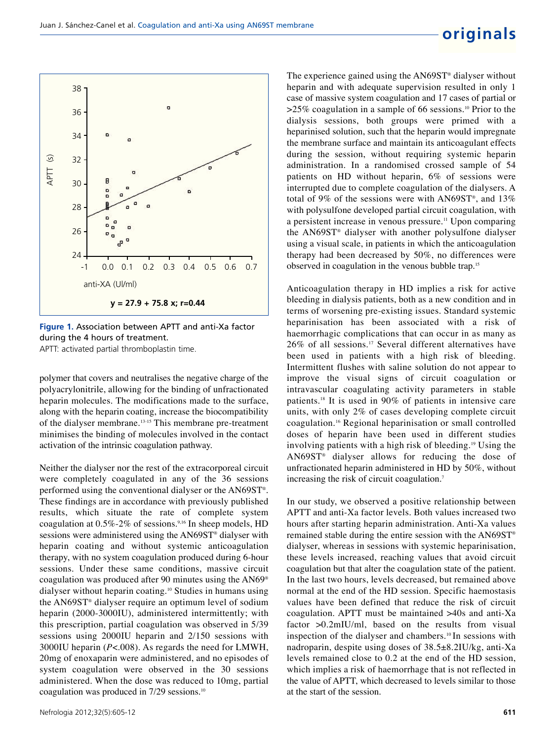

**Figure 1.** Association between APTT and anti-Xa factor during the 4 hours of treatment. APTT: activated partial thromboplastin time.

polymer that covers and neutralises the negative charge of the polyacrylonitrile, allowing for the binding of unfractionated heparin molecules. The modifications made to the surface, along with the heparin coating, increase the biocompatibility of the dialyser membrane.13-15 This membrane pre-treatment minimises the binding of molecules involved in the contact activation of the intrinsic coagulation pathway.

Neither the dialyser nor the rest of the extracorporeal circuit were completely coagulated in any of the 36 sessions performed using the conventional dialyser or the AN69ST® . These findings are in accordance with previously published results, which situate the rate of complete system coagulation at  $0.5\%$ -2% of sessions.<sup>9,16</sup> In sheep models, HD sessions were administered using the AN69ST® dialyser with heparin coating and without systemic anticoagulation therapy, with no system coagulation produced during 6-hour sessions. Under these same conditions, massive circuit coagulation was produced after 90 minutes using the AN69® dialyser without heparin coating.<sup>10</sup> Studies in humans using the AN69ST® dialyser require an optimum level of sodium heparin (2000-3000IU), administered intermittently; with this prescription, partial coagulation was observed in 5/39 sessions using 2000IU heparin and 2/150 sessions with 3000IU heparin (*P*<.008). As regards the need for LMWH, 20mg of enoxaparin were administered, and no episodes of system coagulation were observed in the 30 sessions administered. When the dose was reduced to 10mg, partial coagulation was produced in 7/29 sessions.<sup>10</sup>

The experience gained using the AN69ST® dialyser without heparin and with adequate supervision resulted in only 1 case of massive system coagulation and 17 cases of partial or  $>25\%$  coagulation in a sample of 66 sessions.<sup>10</sup> Prior to the dialysis sessions, both groups were primed with a heparinised solution, such that the heparin would impregnate the membrane surface and maintain its anticoagulant effects during the session, without requiring systemic heparin administration. In a randomised crossed sample of 54 patients on HD without heparin, 6% of sessions were interrupted due to complete coagulation of the dialysers. A total of 9% of the sessions were with AN69ST®, and 13% with polysulfone developed partial circuit coagulation, with a persistent increase in venous pressure.<sup>11</sup> Upon comparing the AN69ST® dialyser with another polysulfone dialyser using a visual scale, in patients in which the anticoagulation therapy had been decreased by 50%, no differences were observed in coagulation in the venous bubble trap.<sup>15</sup>

Anticoagulation therapy in HD implies a risk for active bleeding in dialysis patients, both as a new condition and in terms of worsening pre-existing issues. Standard systemic heparinisation has been associated with a risk of haemorrhagic complications that can occur in as many as 26% of all sessions.<sup>17</sup> Several different alternatives have been used in patients with a high risk of bleeding. Intermittent flushes with saline solution do not appear to improve the visual signs of circuit coagulation or intravascular coagulating activity parameters in stable patients.<sup>18</sup> It is used in 90% of patients in intensive care units, with only 2% of cases developing complete circuit coagulation.<sup>16</sup> Regional heparinisation or small controlled doses of heparin have been used in different studies involving patients with a high risk of bleeding.<sup>19</sup> Using the AN69ST® dialyser allows for reducing the dose of unfractionated heparin administered in HD by 50%, without increasing the risk of circuit coagulation.<sup>7</sup>

In our study, we observed a positive relationship between APTT and anti-Xa factor levels. Both values increased two hours after starting heparin administration. Anti-Xa values remained stable during the entire session with the AN69ST® dialyser, whereas in sessions with systemic heparinisation, these levels increased, reaching values that avoid circuit coagulation but that alter the coagulation state of the patient. In the last two hours, levels decreased, but remained above normal at the end of the HD session. Specific haemostasis values have been defined that reduce the risk of circuit coagulation. APTT must be maintained >40s and anti-Xa factor >0.2mIU/ml, based on the results from visual inspection of the dialyser and chambers.10 In sessions with nadroparin, despite using doses of 38.5±8.2IU/kg, anti-Xa levels remained close to 0.2 at the end of the HD session, which implies a risk of haemorrhage that is not reflected in the value of APTT, which decreased to levels similar to those at the start of the session.